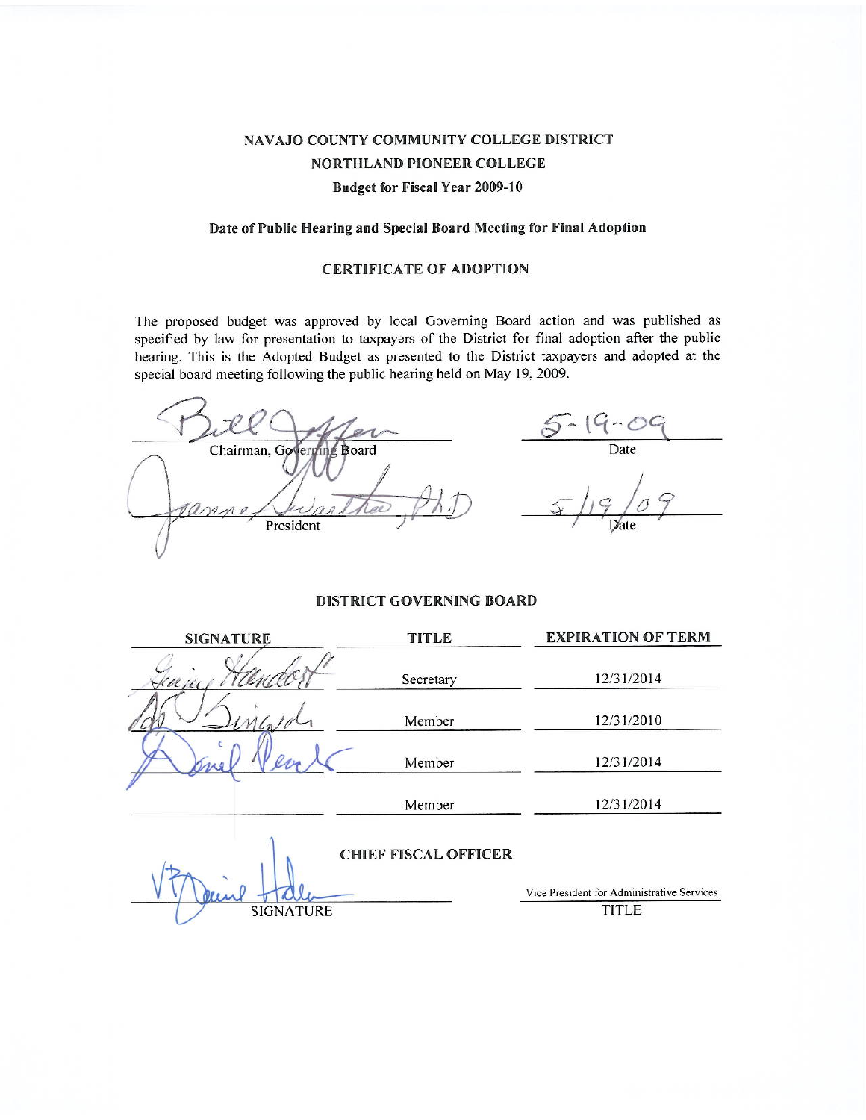# NAVAJO COUNTY COMMUNITY COLLEGE DISTRICT NORTHLAND PIONEER COLLEGE **Budget for Fiscal Year 2009-10**

## Date of Public Hearing and Special Board Meeting for Final Adoption

### **CERTIFICATE OF ADOPTION**

The proposed budget was approved by local Governing Board action and was published as specified by law for presentation to taxpayers of the District for final adoption after the public hearing. This is the Adopted Budget as presented to the District taxpayers and adopted at the special board meeting following the public hearing held on May 19, 2009.

 $\frac{1}{2}$ Date Chairman, Governing Board nn President

## **DISTRICT GOVERNING BOARD**

| <b>SIGNATURE</b> | <b>TITLE</b>                | <b>EXPIRATION OF TERM</b>                  |  |  |  |  |
|------------------|-----------------------------|--------------------------------------------|--|--|--|--|
| Kan              | Secretary                   | 12/31/2014                                 |  |  |  |  |
|                  | Member                      | 12/31/2010                                 |  |  |  |  |
|                  | Member                      | 12/31/2014                                 |  |  |  |  |
|                  | Member                      | 12/31/2014                                 |  |  |  |  |
|                  | <b>CHIEF FISCAL OFFICER</b> |                                            |  |  |  |  |
|                  |                             | Vice President for Administrative Services |  |  |  |  |
| <b>SIGNATURE</b> |                             | TITLE                                      |  |  |  |  |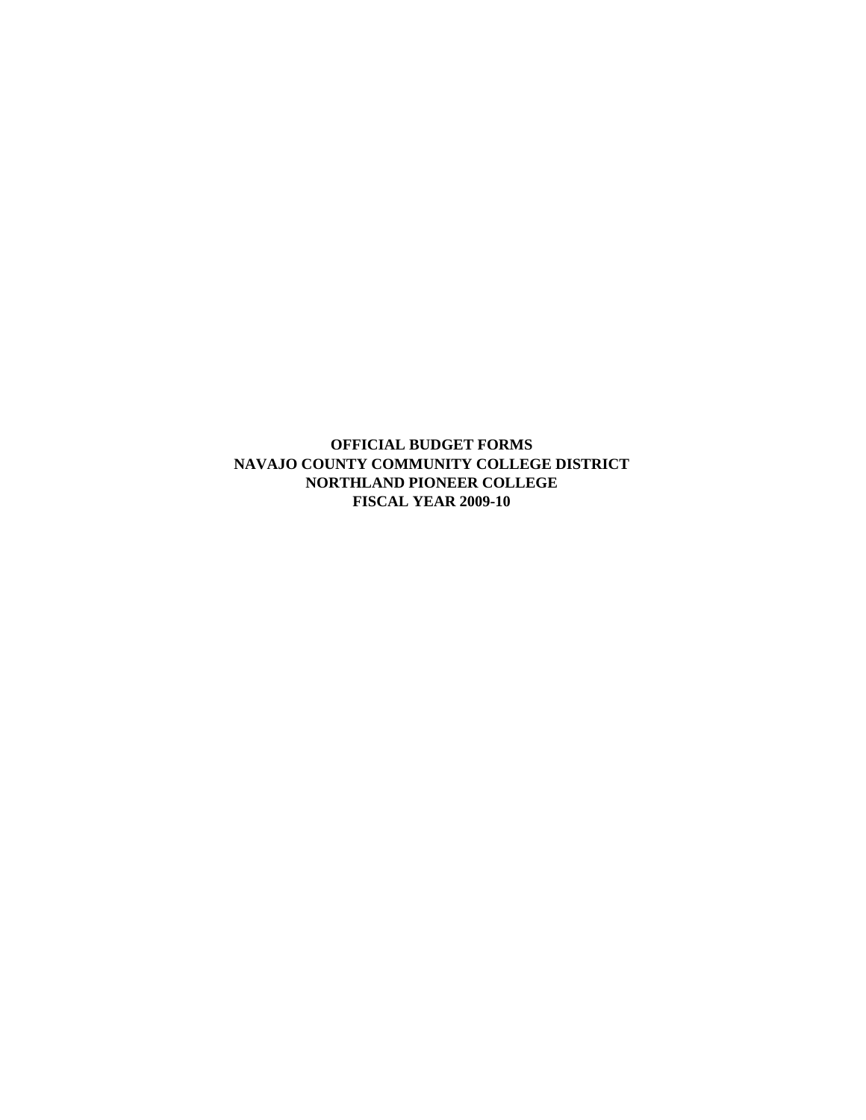**OFFICIAL BUDGET FORMS NAVAJO COUNTY COMMUNITY COLLEGE DISTRICT NORTHLAND PIONEER COLLEGE FISCAL YEAR 2009-10**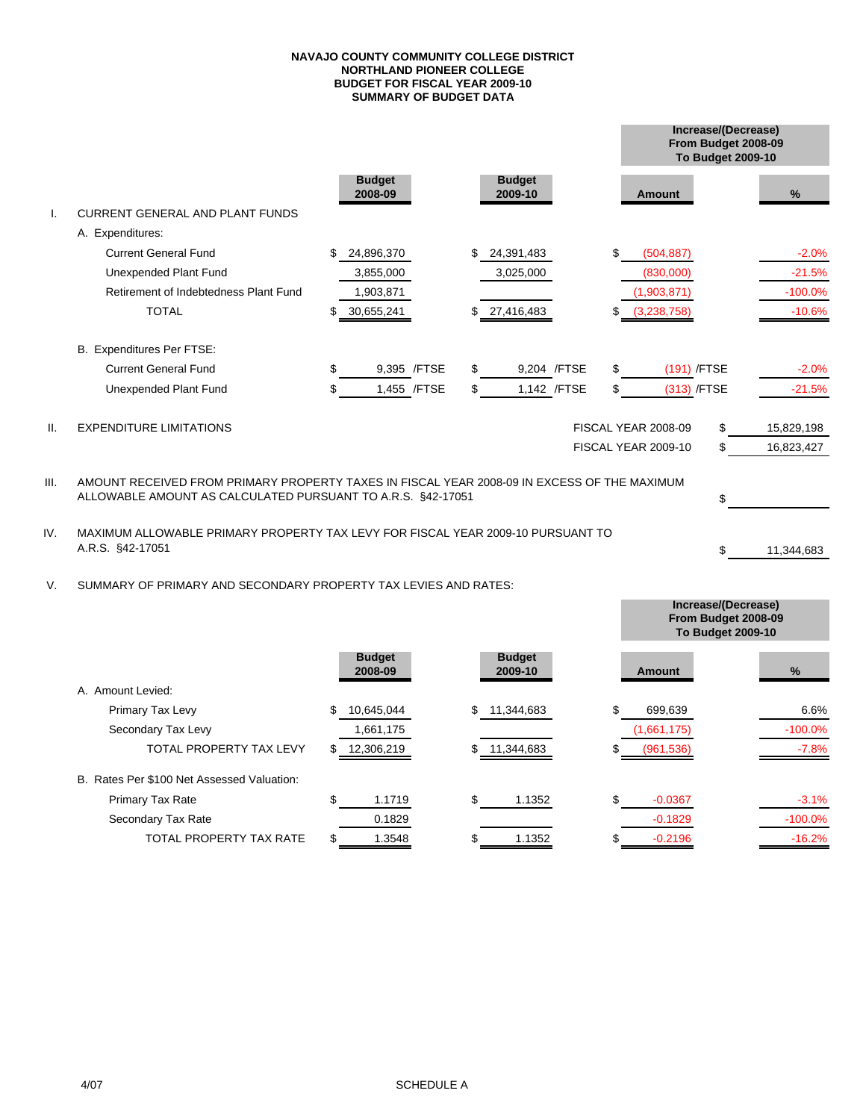#### **SUMMARY OF BUDGET DATA NAVAJO COUNTY COMMUNITY COLLEGE DISTRICT NORTHLAND PIONEER COLLEGE BUDGET FOR FISCAL YEAR 2009-10**

|      |                                                                                                                                                            |                          |     |                          |    | Increase/(Decrease)<br>From Budget 2008-09<br>To Budget 2009-10 |    |            |
|------|------------------------------------------------------------------------------------------------------------------------------------------------------------|--------------------------|-----|--------------------------|----|-----------------------------------------------------------------|----|------------|
|      |                                                                                                                                                            | <b>Budget</b><br>2008-09 |     | <b>Budget</b><br>2009-10 |    | <b>Amount</b>                                                   |    | $\%$       |
|      | <b>CURRENT GENERAL AND PLANT FUNDS</b>                                                                                                                     |                          |     |                          |    |                                                                 |    |            |
|      | A. Expenditures:                                                                                                                                           |                          |     |                          |    |                                                                 |    |            |
|      | <b>Current General Fund</b>                                                                                                                                | \$<br>24,896,370         |     | 24,391,483               | \$ | (504, 887)                                                      |    | $-2.0%$    |
|      | Unexpended Plant Fund                                                                                                                                      | 3,855,000                |     | 3,025,000                |    | (830,000)                                                       |    | $-21.5%$   |
|      | Retirement of Indebtedness Plant Fund                                                                                                                      | 1,903,871                |     |                          |    | (1,903,871)                                                     |    | $-100.0%$  |
|      | <b>TOTAL</b>                                                                                                                                               | \$<br>30,655,241         |     | \$27,416,483             | S  | (3,238,758)                                                     |    | $-10.6%$   |
|      | B. Expenditures Per FTSE:                                                                                                                                  |                          |     |                          |    |                                                                 |    |            |
|      | <b>Current General Fund</b>                                                                                                                                | \$<br>9,395 /FTSE        |     | 9,204 /FTSE              | \$ | (191) /FTSE                                                     |    | $-2.0%$    |
|      | Unexpended Plant Fund                                                                                                                                      | 1,455 / FTSE             | \$. | 1,142 / FTSE             | \$ | (313) /FTSE                                                     |    | $-21.5%$   |
| H.   | <b>EXPENDITURE LIMITATIONS</b>                                                                                                                             |                          |     |                          |    | <b>FISCAL YEAR 2008-09</b>                                      | \$ | 15,829,198 |
|      |                                                                                                                                                            |                          |     |                          |    | FISCAL YEAR 2009-10                                             | \$ | 16,823,427 |
| III. | AMOUNT RECEIVED FROM PRIMARY PROPERTY TAXES IN FISCAL YEAR 2008-09 IN EXCESS OF THE MAXIMUM<br>ALLOWABLE AMOUNT AS CALCULATED PURSUANT TO A.R.S. §42-17051 |                          |     |                          |    |                                                                 |    |            |
|      |                                                                                                                                                            |                          |     |                          |    |                                                                 | \$ |            |
| IV.  | MAXIMUM ALLOWABLE PRIMARY PROPERTY TAX LEVY FOR FISCAL YEAR 2009-10 PURSUANT TO                                                                            |                          |     |                          |    |                                                                 |    |            |
|      | A.R.S. §42-17051                                                                                                                                           |                          |     |                          |    |                                                                 | \$ | 11,344,683 |

V. SUMMARY OF PRIMARY AND SECONDARY PROPERTY TAX LEVIES AND RATES:

|                                            |                          |                          | Increase/(Decrease)<br>From Budget 2008-09<br><b>To Budget 2009-10</b> |           |
|--------------------------------------------|--------------------------|--------------------------|------------------------------------------------------------------------|-----------|
|                                            | <b>Budget</b><br>2008-09 | <b>Budget</b><br>2009-10 | <b>Amount</b>                                                          | $\%$      |
| A. Amount Levied:                          |                          |                          |                                                                        |           |
| Primary Tax Levy                           | \$<br>10,645,044         | S<br>11,344,683          | \$<br>699,639                                                          | 6.6%      |
| Secondary Tax Levy                         | 1,661,175                |                          | (1,661,175)                                                            | $-100.0%$ |
| TOTAL PROPERTY TAX LEVY                    | 12,306,219               | 11,344,683               | (961, 536)                                                             | $-7.8%$   |
| B. Rates Per \$100 Net Assessed Valuation: |                          |                          |                                                                        |           |
| Primary Tax Rate                           | \$<br>1.1719             | \$<br>1.1352             | \$<br>$-0.0367$                                                        | $-3.1%$   |
| Secondary Tax Rate                         | 0.1829                   |                          | $-0.1829$                                                              | $-100.0%$ |
| TOTAL PROPERTY TAX RATE                    | 1.3548                   | 1.1352                   | $-0.2196$                                                              | $-16.2%$  |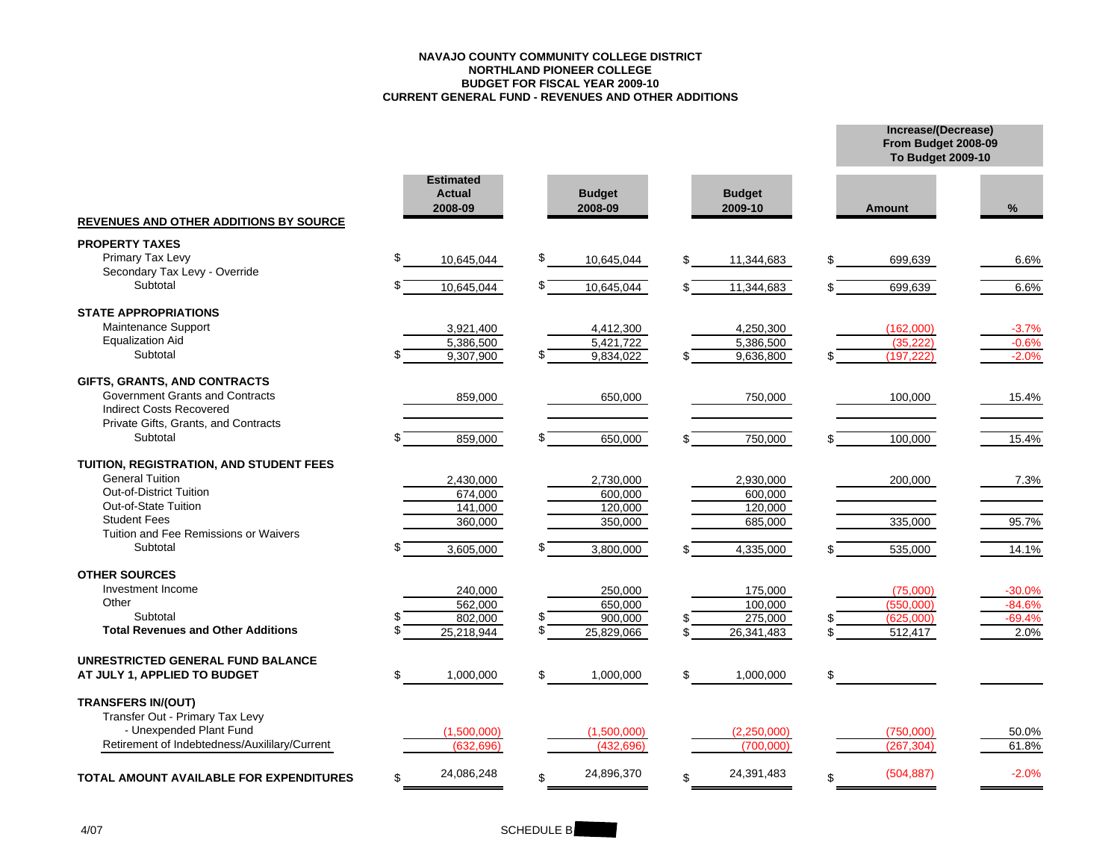#### **NAVAJO COUNTY COMMUNITY COLLEGE DISTRICTNORTHLAND PIONEER COLLEGE BUDGET FOR FISCAL YEAR 2009-10 CURRENT GENERAL FUND - REVENUES AND OTHER ADDITIONS**

**Increase/(Decrease) From Budget 2008-09**

|                                                |    |                                              |    |                          |                          | To Budget 2009-10 |          |
|------------------------------------------------|----|----------------------------------------------|----|--------------------------|--------------------------|-------------------|----------|
| <b>REVENUES AND OTHER ADDITIONS BY SOURCE</b>  |    | <b>Estimated</b><br><b>Actual</b><br>2008-09 |    | <b>Budget</b><br>2008-09 | <b>Budget</b><br>2009-10 | <b>Amount</b>     | %        |
| <b>PROPERTY TAXES</b>                          |    |                                              |    |                          |                          |                   |          |
| Primary Tax Levy                               | S  | 10,645,044                                   | \$ | 10,645,044               | \$<br>11,344,683         | 699,639           | 6.6%     |
| Secondary Tax Levy - Override                  |    |                                              |    |                          |                          |                   |          |
| Subtotal                                       |    | 10,645,044                                   | S  | 10,645,044               | 11,344,683               | 699,639           | 6.6%     |
| <b>STATE APPROPRIATIONS</b>                    |    |                                              |    |                          |                          |                   |          |
| Maintenance Support                            |    | 3,921,400                                    |    | 4,412,300                | 4,250,300                | (162,000)         | $-3.7%$  |
| <b>Equalization Aid</b>                        |    | 5,386,500                                    |    | 5,421,722                | 5,386,500                | (35, 222)         | $-0.6%$  |
| Subtotal                                       |    | 9,307,900                                    |    | 9,834,022                | 9,636,800                | (197, 222)        | $-2.0%$  |
| GIFTS, GRANTS, AND CONTRACTS                   |    |                                              |    |                          |                          |                   |          |
| <b>Government Grants and Contracts</b>         |    | 859,000                                      |    | 650,000                  | 750,000                  | 100,000           | 15.4%    |
| <b>Indirect Costs Recovered</b>                |    |                                              |    |                          |                          |                   |          |
| Private Gifts, Grants, and Contracts           |    |                                              |    |                          |                          |                   |          |
| Subtotal                                       |    | 859,000                                      |    | 650,000                  | 750,000                  | 100,000           | 15.4%    |
| TUITION, REGISTRATION, AND STUDENT FEES        |    |                                              |    |                          |                          |                   |          |
| <b>General Tuition</b>                         |    | 2,430,000                                    |    | 2,730,000                | 2,930,000                | 200,000           | 7.3%     |
| <b>Out-of-District Tuition</b>                 |    | 674,000                                      |    | 600,000                  | 600,000                  |                   |          |
| Out-of-State Tuition                           |    | 141,000                                      |    | 120,000                  | 120,000                  |                   |          |
| <b>Student Fees</b>                            |    | 360,000                                      |    | 350,000                  | 685,000                  | 335,000           | 95.7%    |
| Tuition and Fee Remissions or Waivers          |    |                                              |    |                          |                          |                   |          |
| Subtotal                                       |    | 3,605,000                                    |    | 3,800,000                | 4,335,000                | 535,000           | 14.1%    |
| <b>OTHER SOURCES</b>                           |    |                                              |    |                          |                          |                   |          |
| Investment Income                              |    | 240,000                                      |    | 250,000                  | 175,000                  | (75,000)          | $-30.0%$ |
| Other                                          |    | 562.000                                      |    | 650.000                  | 100.000                  | (550,000)         | $-84.6%$ |
| Subtotal                                       |    | 802,000                                      |    | 900,000                  | 275,000                  | (625,000)         | $-69.4%$ |
| <b>Total Revenues and Other Additions</b>      |    | 25,218,944                                   | \$ | 25.829.066               | 26,341,483               | 512,417           | 2.0%     |
| UNRESTRICTED GENERAL FUND BALANCE              |    |                                              |    |                          |                          |                   |          |
| AT JULY 1, APPLIED TO BUDGET                   | S  | 1,000,000                                    | \$ | 1,000,000                | \$<br>1,000,000          | \$                |          |
| <b>TRANSFERS IN/(OUT)</b>                      |    |                                              |    |                          |                          |                   |          |
| Transfer Out - Primary Tax Levy                |    |                                              |    |                          |                          |                   |          |
| - Unexpended Plant Fund                        |    | (1,500,000)                                  |    | (1,500,000)              | (2,250,000)              | (750,000)         | 50.0%    |
| Retirement of Indebtedness/Auxililary/Current  |    | (632.696)                                    |    | (432.696)                | (700.000)                | (267.304)         | 61.8%    |
|                                                |    |                                              |    |                          |                          |                   | $-2.0%$  |
| <b>TOTAL AMOUNT AVAILABLE FOR EXPENDITURES</b> | \$ | 24,086,248                                   | \$ | 24,896,370               | \$<br>24,391,483         | \$<br>(504, 887)  |          |

## SCHEDULE B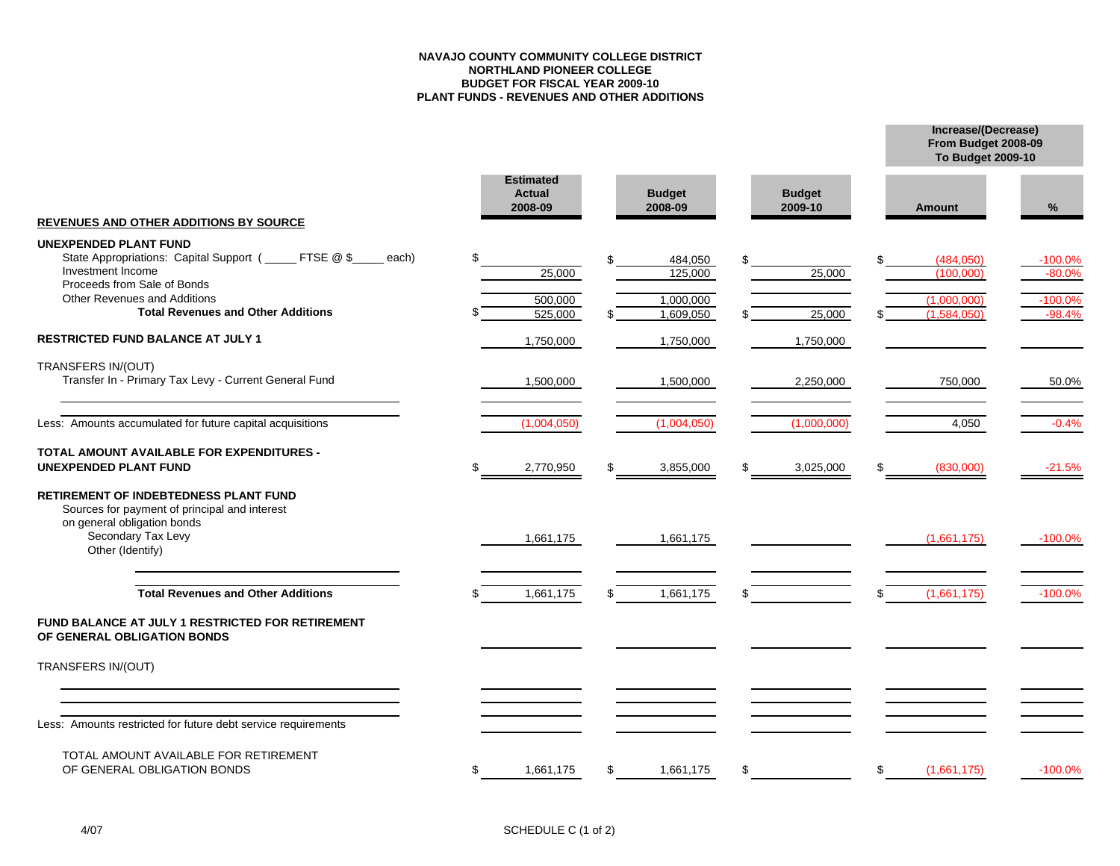#### **NAVAJO COUNTY COMMUNITY COLLEGE DISTRICTNORTHLAND PIONEER COLLEGE BUDGET FOR FISCAL YEAR 2009-10 PLANT FUNDS - REVENUES AND OTHER ADDITIONS**

**Increase/(Decrease)**

**To Budget 2009-10**

**From Budget 2008-09**

|                                                                                                                                                                        | <b>Estimated</b><br><b>Actual</b><br>2008-09 |     | <b>Budget</b><br>2008-09 | <b>Budget</b><br>2009-10 | <b>Amount</b>              | %                     |
|------------------------------------------------------------------------------------------------------------------------------------------------------------------------|----------------------------------------------|-----|--------------------------|--------------------------|----------------------------|-----------------------|
| <b>REVENUES AND OTHER ADDITIONS BY SOURCE</b>                                                                                                                          |                                              |     |                          |                          |                            |                       |
| <b>UNEXPENDED PLANT FUND</b><br>State Appropriations: Capital Support (_____ FTSE @ \$<br>each)<br>Investment Income                                                   | \$<br>25,000                                 |     | 484,050<br>125,000       | 25,000                   | (484, 050)<br>(100,000)    | $-100.0%$<br>$-80.0%$ |
| Proceeds from Sale of Bonds<br><b>Other Revenues and Additions</b><br><b>Total Revenues and Other Additions</b>                                                        | 500,000<br>525,000                           |     | 1,000,000<br>1,609,050   | 25,000                   | (1,000,000)<br>(1,584,050) | $-100.0%$<br>$-98.4%$ |
| RESTRICTED FUND BALANCE AT JULY 1                                                                                                                                      | 1,750,000                                    |     | 1,750,000                | 1,750,000                |                            |                       |
| TRANSFERS IN/(OUT)<br>Transfer In - Primary Tax Levy - Current General Fund                                                                                            | 1,500,000                                    |     | 1,500,000                | 2,250,000                | 750,000                    | 50.0%                 |
| Less: Amounts accumulated for future capital acquisitions                                                                                                              | (1,004,050)                                  |     | (1,004,050)              | (1,000,000)              | 4,050                      | $-0.4%$               |
| <b>TOTAL AMOUNT AVAILABLE FOR EXPENDITURES -</b><br><b>UNEXPENDED PLANT FUND</b>                                                                                       | \$<br>2,770,950                              | \$  | 3,855,000                | \$<br>3,025,000          | \$<br>(830,000)            | $-21.5%$              |
| <b>RETIREMENT OF INDEBTEDNESS PLANT FUND</b><br>Sources for payment of principal and interest<br>on general obligation bonds<br>Secondary Tax Levy<br>Other (Identify) | 1,661,175                                    |     | 1,661,175                |                          | (1,661,175)                | $-100.0\%$            |
| <b>Total Revenues and Other Additions</b>                                                                                                                              | 1,661,175                                    | \$. | 1,661,175                |                          | \$<br>(1,661,175)          | $-100.0%$             |
| FUND BALANCE AT JULY 1 RESTRICTED FOR RETIREMENT<br>OF GENERAL OBLIGATION BONDS                                                                                        |                                              |     |                          |                          |                            |                       |
| TRANSFERS IN/(OUT)                                                                                                                                                     |                                              |     |                          |                          |                            |                       |
| Less: Amounts restricted for future debt service requirements                                                                                                          |                                              |     |                          |                          |                            |                       |
| TOTAL AMOUNT AVAILABLE FOR RETIREMENT<br>OF GENERAL OBLIGATION BONDS                                                                                                   | \$<br>1,661,175                              | \$  | 1,661,175                | \$                       | \$<br>(1,661,175)          | $-100.0%$             |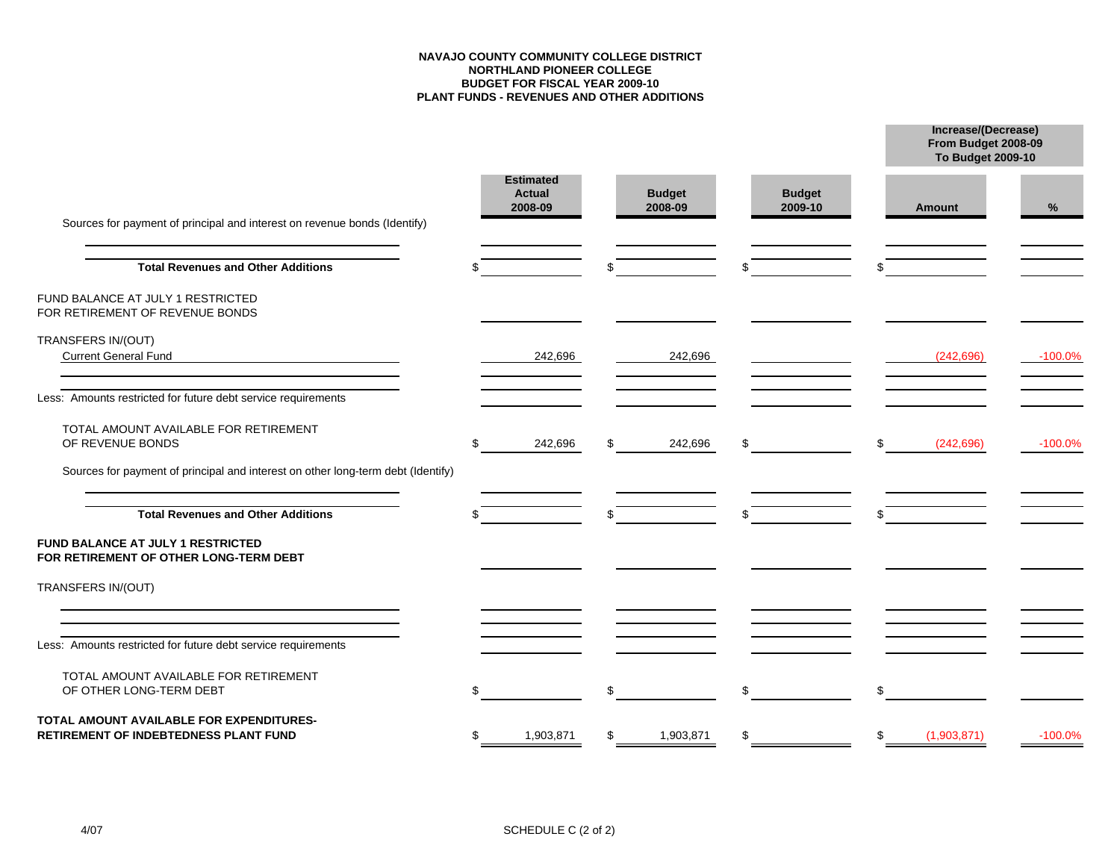#### **NAVAJO COUNTY COMMUNITY COLLEGE DISTRICTNORTHLAND PIONEER COLLEGE BUDGET FOR FISCAL YEAR 2009-10 PLANT FUNDS - REVENUES AND OTHER ADDITIONS**

**Increase/(Decrease)**

**From Budget 2008-09**

|                                                                                                                   |     |                                              |                          |                          |     | To Budget 2009-10 |            |  |
|-------------------------------------------------------------------------------------------------------------------|-----|----------------------------------------------|--------------------------|--------------------------|-----|-------------------|------------|--|
| Sources for payment of principal and interest on revenue bonds (Identify)                                         |     | <b>Estimated</b><br><b>Actual</b><br>2008-09 | <b>Budget</b><br>2008-09 | <b>Budget</b><br>2009-10 |     | <b>Amount</b>     | %          |  |
| <b>Total Revenues and Other Additions</b>                                                                         |     |                                              |                          | \$                       |     |                   |            |  |
| FUND BALANCE AT JULY 1 RESTRICTED<br>FOR RETIREMENT OF REVENUE BONDS                                              |     |                                              |                          |                          |     |                   |            |  |
| TRANSFERS IN/(OUT)<br><b>Current General Fund</b><br><u> 1989 - Johann John Stone, markin fizik eta idazlea (</u> |     | 242,696                                      | 242,696                  |                          |     | (242, 696)        | $-100.0\%$ |  |
| Less: Amounts restricted for future debt service requirements                                                     |     |                                              |                          |                          |     |                   |            |  |
| TOTAL AMOUNT AVAILABLE FOR RETIREMENT<br>OF REVENUE BONDS                                                         | \$  | 242,696                                      | 242,696                  | \$                       | \$. | (242, 696)        | $-100.0%$  |  |
| Sources for payment of principal and interest on other long-term debt (Identify)                                  |     |                                              |                          |                          |     |                   |            |  |
| <b>Total Revenues and Other Additions</b>                                                                         |     |                                              |                          | \$.                      |     |                   |            |  |
| FUND BALANCE AT JULY 1 RESTRICTED<br>FOR RETIREMENT OF OTHER LONG-TERM DEBT                                       |     |                                              |                          |                          |     |                   |            |  |
| TRANSFERS IN/(OUT)                                                                                                |     |                                              |                          |                          |     |                   |            |  |
| Less: Amounts restricted for future debt service requirements                                                     |     |                                              |                          |                          |     |                   |            |  |
| TOTAL AMOUNT AVAILABLE FOR RETIREMENT<br>OF OTHER LONG-TERM DEBT                                                  | \$. |                                              | \$                       | \$                       | \$  |                   |            |  |
| TOTAL AMOUNT AVAILABLE FOR EXPENDITURES-<br>RETIREMENT OF INDEBTEDNESS PLANT FUND                                 | \$  | 1,903,871                                    | \$<br>1,903,871          | \$                       | \$  | (1,903,871)       | $-100.0%$  |  |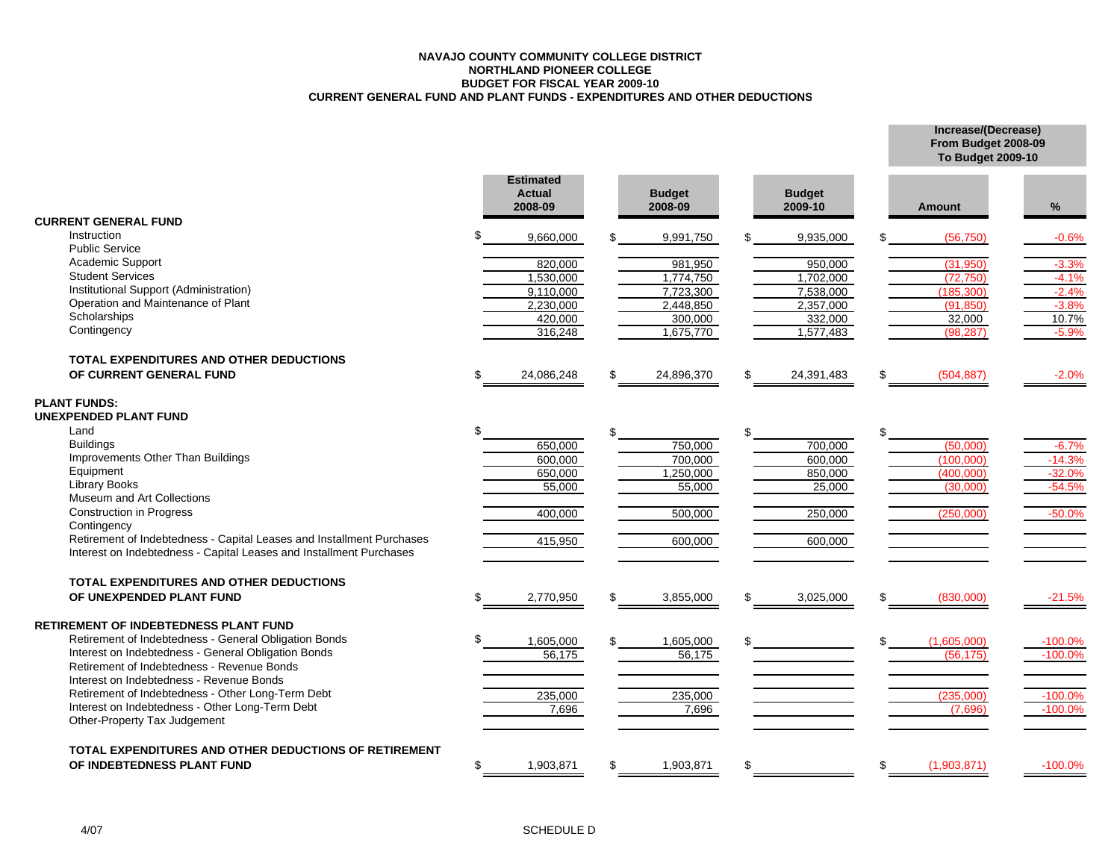#### **NAVAJO COUNTY COMMUNITY COLLEGE DISTRICTNORTHLAND PIONEER COLLEGE BUDGET FOR FISCAL YEAR 2009-10 CURRENT GENERAL FUND AND PLANT FUNDS - EXPENDITURES AND OTHER DEDUCTIONS**

**Increase/(Decrease) From Budget 2008-09**

|                                                                       |     |                                       |    |                          |     |                          |     | To Budget 2009-10      |                    |
|-----------------------------------------------------------------------|-----|---------------------------------------|----|--------------------------|-----|--------------------------|-----|------------------------|--------------------|
| <b>CURRENT GENERAL FUND</b>                                           |     | <b>Estimated</b><br>Actual<br>2008-09 |    | <b>Budget</b><br>2008-09 |     | <b>Budget</b><br>2009-10 |     | <b>Amount</b>          | %                  |
| Instruction                                                           |     |                                       |    |                          |     |                          |     |                        |                    |
| <b>Public Service</b>                                                 |     | 9,660,000                             |    | 9,991,750                |     | 9,935,000                |     | (56, 750)              | $-0.6%$            |
| Academic Support                                                      |     |                                       |    |                          |     |                          |     |                        |                    |
| <b>Student Services</b>                                               |     | 820,000                               |    | 981,950                  |     | 950,000                  |     | (31,950)               | $-3.3%$            |
| Institutional Support (Administration)                                |     | 1,530,000                             |    | 1,774,750                |     | 1,702,000                |     | (72, 750)              | $-4.1%$            |
| Operation and Maintenance of Plant                                    |     | 9,110,000<br>2,230,000                |    | 7,723,300<br>2,448,850   |     | 7,538,000<br>2,357,000   |     | (185, 300)<br>(91.850) | $-2.4%$<br>$-3.8%$ |
| Scholarships                                                          |     | 420,000                               |    | 300,000                  |     | 332,000                  |     | 32,000                 | 10.7%              |
| Contingency                                                           |     |                                       |    | 1,675,770                |     |                          |     |                        |                    |
|                                                                       |     | 316,248                               |    |                          |     | 1,577,483                |     | (98, 287)              | $-5.9%$            |
| TOTAL EXPENDITURES AND OTHER DEDUCTIONS                               |     |                                       |    |                          |     |                          |     |                        |                    |
| OF CURRENT GENERAL FUND                                               | \$. | 24,086,248                            | ደ  | 24,896,370               | \$. | 24,391,483               | \$. | (504, 887)             | $-2.0%$            |
|                                                                       |     |                                       |    |                          |     |                          |     |                        |                    |
| <b>PLANT FUNDS:</b>                                                   |     |                                       |    |                          |     |                          |     |                        |                    |
| <b>UNEXPENDED PLANT FUND</b>                                          |     |                                       |    |                          |     |                          |     |                        |                    |
| Land                                                                  |     |                                       |    |                          |     |                          |     |                        |                    |
| <b>Buildings</b>                                                      |     | 650,000                               |    | 750,000                  |     | 700,000                  |     | (50,000)               | $-6.7%$            |
| Improvements Other Than Buildings                                     |     | 600.000                               |    | 700.000                  |     | 600.000                  |     | (100.000)              | $-14.3%$           |
| Equipment                                                             |     | 650,000                               |    | 1,250,000                |     | 850,000                  |     | (400,000)              | $-32.0%$           |
| <b>Library Books</b>                                                  |     | 55,000                                |    | 55,000                   |     | 25,000                   |     | (30,000)               | $-54.5%$           |
| Museum and Art Collections                                            |     |                                       |    |                          |     |                          |     |                        |                    |
| <b>Construction in Progress</b>                                       |     | 400,000                               |    | 500,000                  |     | 250,000                  |     | (250,000)              | $-50.0%$           |
| Contingency                                                           |     |                                       |    |                          |     |                          |     |                        |                    |
| Retirement of Indebtedness - Capital Leases and Installment Purchases |     | 415,950                               |    | 600,000                  |     | 600,000                  |     |                        |                    |
| Interest on Indebtedness - Capital Leases and Installment Purchases   |     |                                       |    |                          |     |                          |     |                        |                    |
| <b>TOTAL EXPENDITURES AND OTHER DEDUCTIONS</b>                        |     |                                       |    |                          |     |                          |     |                        |                    |
| OF UNEXPENDED PLANT FUND                                              | \$  | 2,770,950                             | \$ | 3,855,000                | \$  | 3,025,000                | \$  | (830,000)              | $-21.5%$           |
|                                                                       |     |                                       |    |                          |     |                          |     |                        |                    |
| <b>RETIREMENT OF INDEBTEDNESS PLANT FUND</b>                          |     |                                       |    |                          |     |                          |     |                        |                    |
| Retirement of Indebtedness - General Obligation Bonds                 |     | 1,605,000                             |    | 1,605,000                |     |                          |     | (1,605,000)            | $-100.0\%$         |
| Interest on Indebtedness - General Obligation Bonds                   |     | 56,175                                |    | 56,175                   |     |                          |     | (56, 175)              | $-100.0%$          |
| Retirement of Indebtedness - Revenue Bonds                            |     |                                       |    |                          |     |                          |     |                        |                    |
| Interest on Indebtedness - Revenue Bonds                              |     |                                       |    |                          |     |                          |     |                        |                    |
| Retirement of Indebtedness - Other Long-Term Debt                     |     | 235,000                               |    | 235,000                  |     |                          |     | (235.000)              | $-100.0%$          |
| Interest on Indebtedness - Other Long-Term Debt                       |     | 7,696                                 |    | 7,696                    |     |                          |     | (7.696)                | $-100.0%$          |
| Other-Property Tax Judgement                                          |     |                                       |    |                          |     |                          |     |                        |                    |
|                                                                       |     |                                       |    |                          |     |                          |     |                        |                    |
| TOTAL EXPENDITURES AND OTHER DEDUCTIONS OF RETIREMENT                 |     |                                       |    |                          |     |                          |     |                        |                    |
| OF INDEBTEDNESS PLANT FUND                                            | \$. | 1,903,871                             | \$ | 1,903,871                |     |                          | \$  | (1,903,871)            | $-100.0%$          |
|                                                                       |     |                                       |    |                          |     |                          |     |                        |                    |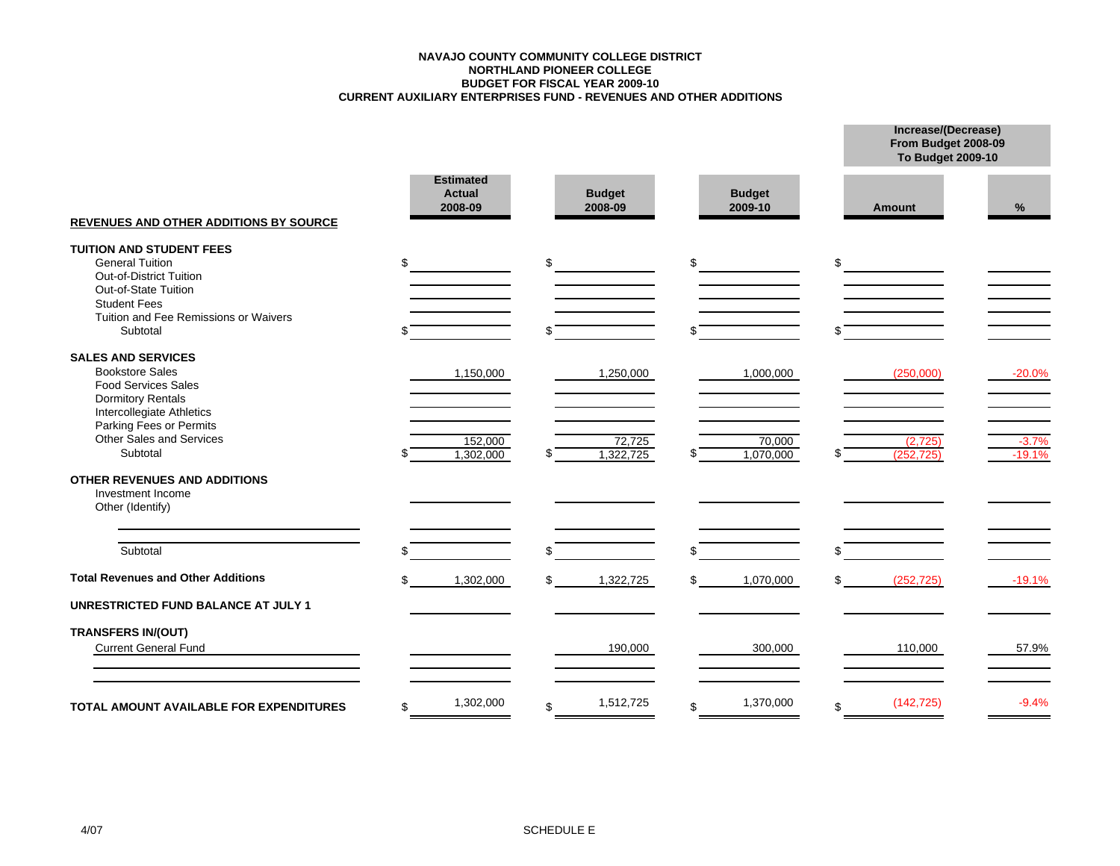#### **NAVAJO COUNTY COMMUNITY COLLEGE DISTRICTCURRENT AUXILIARY ENTERPRISES FUND - REVENUES AND OTHER ADDITIONS BUDGET FOR FISCAL YEAR 2009-10 NORTHLAND PIONEER COLLEGE**

**Increase/(Decrease) From Budget 2008-09**

|                                                                                                                                                                       |    |                                              |    |                          |     |                          |     | To Budget 2009-10    |                     |
|-----------------------------------------------------------------------------------------------------------------------------------------------------------------------|----|----------------------------------------------|----|--------------------------|-----|--------------------------|-----|----------------------|---------------------|
| <b>REVENUES AND OTHER ADDITIONS BY SOURCE</b>                                                                                                                         |    | <b>Estimated</b><br><b>Actual</b><br>2008-09 |    | <b>Budget</b><br>2008-09 |     | <b>Budget</b><br>2009-10 |     | Amount               | %                   |
| <b>TUITION AND STUDENT FEES</b><br><b>General Tuition</b><br>Out-of-District Tuition<br>Out-of-State Tuition<br><b>Student Fees</b>                                   | \$ |                                              | \$ |                          | \$  |                          | \$  |                      |                     |
| Tuition and Fee Remissions or Waivers<br>Subtotal                                                                                                                     |    |                                              |    |                          |     |                          |     |                      |                     |
| <b>SALES AND SERVICES</b><br><b>Bookstore Sales</b><br><b>Food Services Sales</b><br><b>Dormitory Rentals</b><br>Intercollegiate Athletics<br>Parking Fees or Permits |    | 1,150,000                                    |    | 1,250,000                |     | 1,000,000                |     | (250,000)            | $-20.0%$            |
| Other Sales and Services<br>Subtotal                                                                                                                                  |    | 152,000<br>1,302,000                         |    | 72,725<br>1,322,725      |     | 70,000<br>1,070,000      | \$. | (2,725)<br>(252.725) | $-3.7%$<br>$-19.1%$ |
| <b>OTHER REVENUES AND ADDITIONS</b><br>Investment Income<br>Other (Identify)                                                                                          |    |                                              |    |                          |     |                          |     |                      |                     |
| Subtotal                                                                                                                                                              | ደ  |                                              | ደ  |                          | \$. |                          | \$. |                      |                     |
| <b>Total Revenues and Other Additions</b>                                                                                                                             | \$ | 1,302,000                                    | \$ | 1,322,725                | \$  | 1,070,000                | \$  | (252, 725)           | $-19.1%$            |
| <b>UNRESTRICTED FUND BALANCE AT JULY 1</b>                                                                                                                            |    |                                              |    |                          |     |                          |     |                      |                     |
| <b>TRANSFERS IN/(OUT)</b><br><b>Current General Fund</b>                                                                                                              |    |                                              |    | 190,000                  |     | 300,000                  |     | 110,000              | 57.9%               |
| <b>TOTAL AMOUNT AVAILABLE FOR EXPENDITURES</b>                                                                                                                        | \$ | 1,302,000                                    | \$ | 1,512,725                | \$  | 1,370,000                | \$  | (142, 725)           | $-9.4%$             |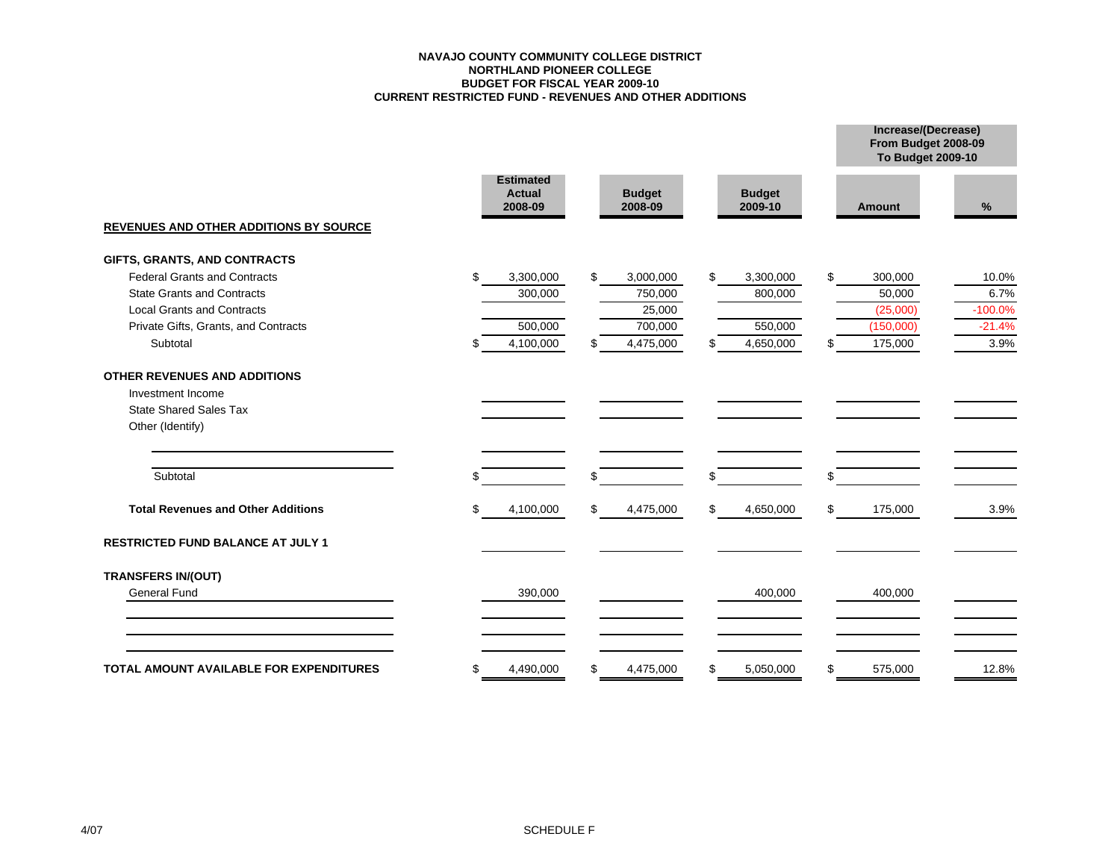#### **NAVAJO COUNTY COMMUNITY COLLEGE DISTRICTNORTHLAND PIONEER COLLEGE BUDGET FOR FISCAL YEAR 2009-10 CURRENT RESTRICTED FUND - REVENUES AND OTHER ADDITIONS**

**Increase/(Decrease)**

|                                                |                                              |                          |                          | From Budget 2008-09<br><b>To Budget 2009-10</b> |           |
|------------------------------------------------|----------------------------------------------|--------------------------|--------------------------|-------------------------------------------------|-----------|
|                                                | <b>Estimated</b><br><b>Actual</b><br>2008-09 | <b>Budget</b><br>2008-09 | <b>Budget</b><br>2009-10 | <b>Amount</b>                                   | %         |
| <b>REVENUES AND OTHER ADDITIONS BY SOURCE</b>  |                                              |                          |                          |                                                 |           |
| GIFTS, GRANTS, AND CONTRACTS                   |                                              |                          |                          |                                                 |           |
| <b>Federal Grants and Contracts</b>            | \$<br>3,300,000                              | \$<br>3,000,000          | \$<br>3,300,000          | \$<br>300,000                                   | 10.0%     |
| <b>State Grants and Contracts</b>              | 300,000                                      | 750,000                  | 800,000                  | 50,000                                          | 6.7%      |
| <b>Local Grants and Contracts</b>              |                                              | 25,000                   |                          | (25,000)                                        | $-100.0%$ |
| Private Gifts, Grants, and Contracts           | 500,000                                      | 700,000                  | 550,000                  | (150,000)                                       | $-21.4%$  |
| Subtotal                                       | 4,100,000<br>S                               | 4,475,000<br>\$          | 4,650,000<br>\$          | 175,000<br>\$                                   | 3.9%      |
| <b>OTHER REVENUES AND ADDITIONS</b>            |                                              |                          |                          |                                                 |           |
| Investment Income                              |                                              |                          |                          |                                                 |           |
| <b>State Shared Sales Tax</b>                  |                                              |                          |                          |                                                 |           |
| Other (Identify)                               |                                              |                          |                          |                                                 |           |
| Subtotal                                       | \$                                           | \$                       | \$                       | \$                                              |           |
| <b>Total Revenues and Other Additions</b>      | 4,100,000<br>S                               | \$<br>4,475,000          | \$<br>4,650,000          | \$<br>175,000                                   | 3.9%      |
| <b>RESTRICTED FUND BALANCE AT JULY 1</b>       |                                              |                          |                          |                                                 |           |
| <b>TRANSFERS IN/(OUT)</b>                      |                                              |                          |                          |                                                 |           |
| <b>General Fund</b>                            | 390,000                                      |                          | 400,000                  | 400,000                                         |           |
|                                                |                                              |                          |                          |                                                 |           |
| <b>TOTAL AMOUNT AVAILABLE FOR EXPENDITURES</b> | 4,490,000<br>\$                              | 4,475,000<br>\$          | 5,050,000<br>\$          | \$<br>575,000                                   | 12.8%     |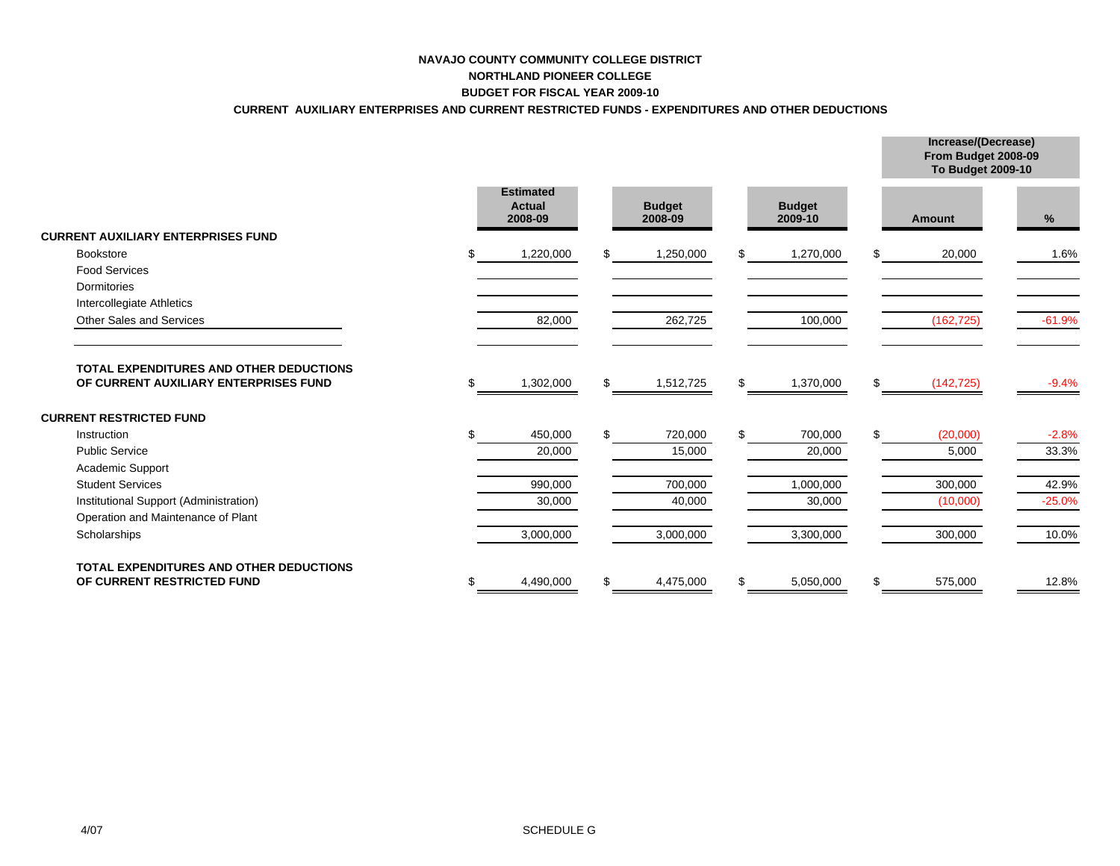#### **NAVAJO COUNTY COMMUNITY COLLEGE DISTRICTNORTHLAND PIONEER COLLEGE BUDGET FOR FISCAL YEAR 2009-10**

#### **CURRENT AUXILIARY ENTERPRISES AND CURRENT RESTRICTED FUNDS - EXPENDITURES AND OTHER DEDUCTIONS**

**Increase/(Decrease)**

|                                                                         |                                              |                          |                          |     | From Budget 2008-09<br>To Budget 2009-10 |          |
|-------------------------------------------------------------------------|----------------------------------------------|--------------------------|--------------------------|-----|------------------------------------------|----------|
|                                                                         | <b>Estimated</b><br><b>Actual</b><br>2008-09 | <b>Budget</b><br>2008-09 | <b>Budget</b><br>2009-10 |     | <b>Amount</b>                            | %        |
| <b>CURRENT AUXILIARY ENTERPRISES FUND</b>                               |                                              |                          |                          |     |                                          |          |
| <b>Bookstore</b>                                                        | 1,220,000                                    | 1,250,000                | \$<br>1,270,000          | \$  | 20,000                                   | 1.6%     |
| <b>Food Services</b>                                                    |                                              |                          |                          |     |                                          |          |
| Dormitories                                                             |                                              |                          |                          |     |                                          |          |
| Intercollegiate Athletics                                               |                                              |                          |                          |     |                                          |          |
| <b>Other Sales and Services</b>                                         | 82,000                                       | 262,725                  | 100,000                  |     | (162, 725)                               | $-61.9%$ |
| OF CURRENT AUXILIARY ENTERPRISES FUND<br><b>CURRENT RESTRICTED FUND</b> | 1,302,000                                    | \$<br>1,512,725          | \$<br>1,370,000          | \$  | (142, 725)                               | $-9.4%$  |
| Instruction                                                             | 450,000                                      | 720,000                  | 700,000                  | \$. | (20,000)                                 | $-2.8%$  |
| <b>Public Service</b>                                                   | 20,000                                       | 15,000                   | 20,000                   |     | 5,000                                    | 33.3%    |
| Academic Support                                                        |                                              |                          |                          |     |                                          |          |
| <b>Student Services</b>                                                 | 990,000                                      | 700,000                  | 1,000,000                |     | 300,000                                  | 42.9%    |
| Institutional Support (Administration)                                  | 30,000                                       | 40,000                   | 30,000                   |     | (10,000)                                 | $-25.0%$ |
| Operation and Maintenance of Plant                                      |                                              |                          |                          |     |                                          |          |
| Scholarships                                                            | 3,000,000                                    | 3,000,000                | 3,300,000                |     | 300,000                                  | 10.0%    |
| <b>TOTAL EXPENDITURES AND OTHER DEDUCTIONS</b>                          |                                              |                          |                          |     |                                          |          |
| OF CURRENT RESTRICTED FUND                                              | 4,490,000                                    | 4,475,000                | \$<br>5,050,000          | \$  | 575,000                                  | 12.8%    |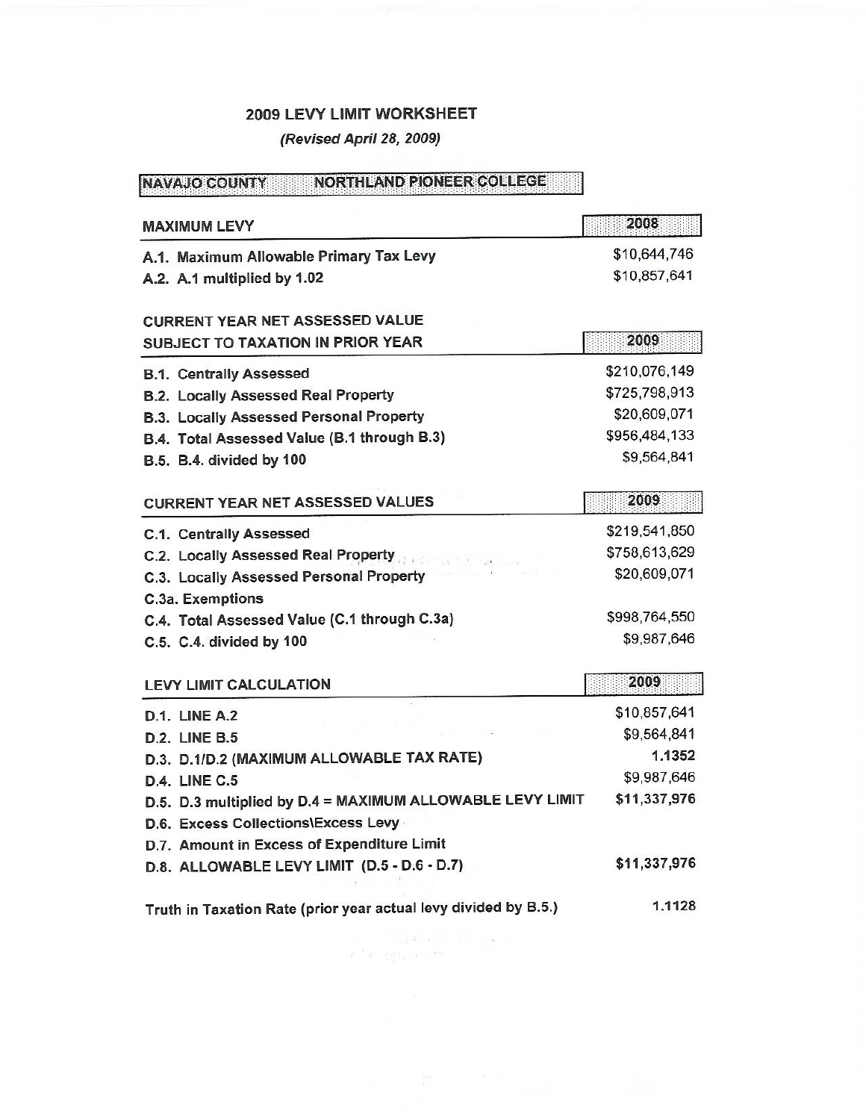# 2009 LEVY LIMIT WORKSHEET

# (Revised April 28, 2009)

# NAVAJO COUNTY NORTHLAND PIONEER COLLEGE

| <b>MAXIMUM LEVY</b>                                             | 2008          |
|-----------------------------------------------------------------|---------------|
| A.1. Maximum Allowable Primary Tax Levy                         | \$10,644,746  |
| A.2. A.1 multiplied by 1.02                                     | \$10,857,641  |
|                                                                 |               |
| <b>CURRENT YEAR NET ASSESSED VALUE</b>                          |               |
| <b>SUBJECT TO TAXATION IN PRIOR YEAR</b>                        | 2009          |
| <b>B.1. Centrally Assessed</b>                                  | \$210,076,149 |
| B.2. Locally Assessed Real Property                             | \$725,798,913 |
| B.3. Locally Assessed Personal Property                         | \$20,609,071  |
| B.4. Total Assessed Value (B.1 through B.3)                     | \$956,484,133 |
| B.5. B.4. divided by 100                                        | \$9,564,841   |
|                                                                 |               |
| <b>CURRENT YEAR NET ASSESSED VALUES</b>                         | 2009          |
| <b>C.1. Centrally Assessed</b>                                  | \$219,541,850 |
| C.2. Locally Assessed Real Property                             | \$758,613,629 |
| C.3. Locally Assessed Personal Property                         | \$20,609,071  |
| C.3a. Exemptions                                                |               |
| C.4. Total Assessed Value (C.1 through C.3a)                    | \$998,764,550 |
| C.5. C.4. divided by 100                                        | \$9,987,646   |
|                                                                 | 2009          |
| <b>LEVY LIMIT CALCULATION</b>                                   |               |
| <b>D.1. LINE A.2</b>                                            | \$10,857,641  |
| <b>D.2. LINE B.5</b>                                            | \$9,564,841   |
| D.3. D.1/D.2 (MAXIMUM ALLOWABLE TAX RATE)                       | 1.1352        |
| <b>D.4. LINE C.5</b>                                            | \$9,987,646   |
| D.5. D.3 multiplied by D.4 = MAXIMUM ALLOWABLE LEVY LIMIT       | \$11,337,976  |
| D.6. Excess Collections\Excess Levy                             |               |
| D.7. Amount in Excess of Expenditure Limit                      |               |
| D.8. ALLOWABLE LEVY LIMIT (D.5 - D.6 - D.7)                     | \$11,337,976  |
| Truth in Taxation Rate (prior year actual levy divided by B.5.) | 1.1128        |

 $\label{eq:3.1} \mathbb{E}[\mathbf{x}^{(1)}] = \mathbb{E}[\mathbf{x}^{(2)}] \mathbb{E}[\mathbf{x}^{(1)}] = \mathbb{E}[\mathbf{x}^{(1)}] = \mathbb{E}[\mathbf{x}^{(1)}]$  $\label{eq:4} \left\langle \left( \rho \right) \right\rangle ^{D} \rho \left( \left\langle \left( \rho \right) \right\rangle _{D} \right) \left\langle \left( \rho \right) \right\rangle _{D} \left( \left\langle \rho \right) \right\rangle$ 

 $\mathbf{J} = \mathbf{M} \mathbf{M} + \mathbf{M} \mathbf{M} \mathbf{M} + \mathbf{M} \mathbf{M} \mathbf{M} + \mathbf{M} \mathbf{M} \mathbf{M}$